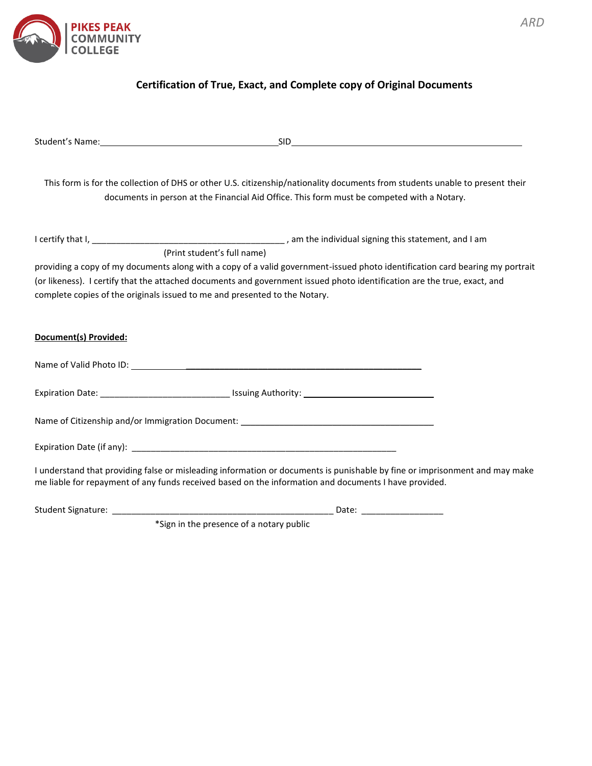

## **Certification of True, Exact, and Complete copy of Original Documents**

|                                                                            | This form is for the collection of DHS or other U.S. citizenship/nationality documents from students unable to present their<br>documents in person at the Financial Aid Office. This form must be competed with a Notary.                                |
|----------------------------------------------------------------------------|-----------------------------------------------------------------------------------------------------------------------------------------------------------------------------------------------------------------------------------------------------------|
|                                                                            |                                                                                                                                                                                                                                                           |
|                                                                            | (Print student's full name)                                                                                                                                                                                                                               |
| complete copies of the originals issued to me and presented to the Notary. | providing a copy of my documents along with a copy of a valid government-issued photo identification card bearing my portrait<br>(or likeness). I certify that the attached documents and government issued photo identification are the true, exact, and |
| Document(s) Provided:                                                      |                                                                                                                                                                                                                                                           |
|                                                                            |                                                                                                                                                                                                                                                           |
|                                                                            | Expiration Date: ___________________________________ Issuing Authority: ____________________________                                                                                                                                                      |
|                                                                            | Name of Citizenship and/or Immigration Document: _______________________________                                                                                                                                                                          |
|                                                                            |                                                                                                                                                                                                                                                           |
|                                                                            | I understand that providing false or misleading information or documents is punishable by fine or imprisonment and may make<br>me liable for repayment of any funds received based on the information and documents I have provided.                      |
|                                                                            |                                                                                                                                                                                                                                                           |

\*Sign in the presence of a notary public

*ARD*